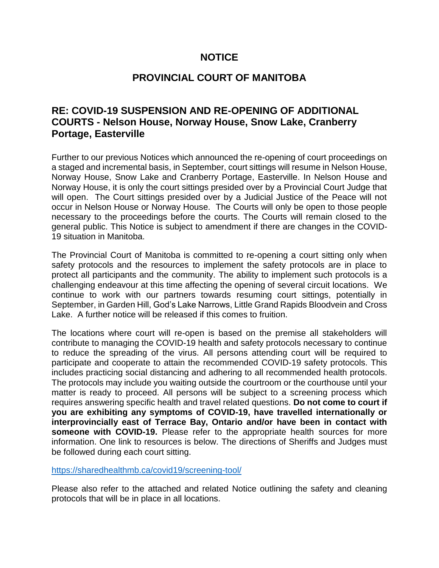# **NOTICE**

# **PROVINCIAL COURT OF MANITOBA**

# **RE: COVID-19 SUSPENSION AND RE-OPENING OF ADDITIONAL COURTS - Nelson House, Norway House, Snow Lake, Cranberry Portage, Easterville**

Further to our previous Notices which announced the re-opening of court proceedings on a staged and incremental basis, in September, court sittings will resume in Nelson House, Norway House, Snow Lake and Cranberry Portage, Easterville. In Nelson House and Norway House, it is only the court sittings presided over by a Provincial Court Judge that will open. The Court sittings presided over by a Judicial Justice of the Peace will not occur in Nelson House or Norway House. The Courts will only be open to those people necessary to the proceedings before the courts. The Courts will remain closed to the general public. This Notice is subject to amendment if there are changes in the COVID-19 situation in Manitoba.

The Provincial Court of Manitoba is committed to re-opening a court sitting only when safety protocols and the resources to implement the safety protocols are in place to protect all participants and the community. The ability to implement such protocols is a challenging endeavour at this time affecting the opening of several circuit locations. We continue to work with our partners towards resuming court sittings, potentially in September, in Garden Hill, God's Lake Narrows, Little Grand Rapids Bloodvein and Cross Lake. A further notice will be released if this comes to fruition.

The locations where court will re-open is based on the premise all stakeholders will contribute to managing the COVID-19 health and safety protocols necessary to continue to reduce the spreading of the virus. All persons attending court will be required to participate and cooperate to attain the recommended COVID-19 safety protocols. This includes practicing social distancing and adhering to all recommended health protocols. The protocols may include you waiting outside the courtroom or the courthouse until your matter is ready to proceed. All persons will be subject to a screening process which requires answering specific health and travel related questions. **Do not come to court if you are exhibiting any symptoms of COVID-19, have travelled internationally or interprovincially east of Terrace Bay, Ontario and/or have been in contact with someone with COVID-19.** Please refer to the appropriate health sources for more information. One link to resources is below. The directions of Sheriffs and Judges must be followed during each court sitting.

<https://sharedhealthmb.ca/covid19/screening-tool/>

Please also refer to the attached and related Notice outlining the safety and cleaning protocols that will be in place in all locations.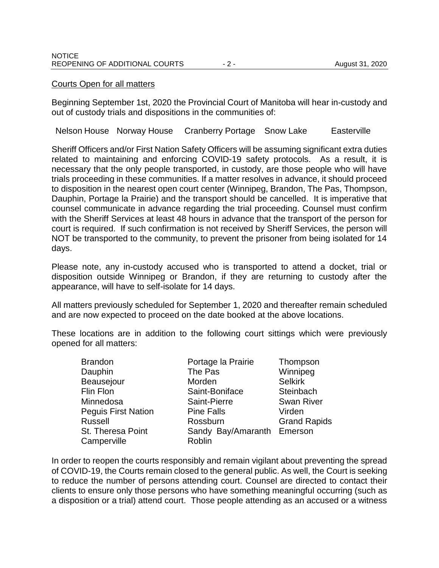#### Courts Open for all matters

Beginning September 1st, 2020 the Provincial Court of Manitoba will hear in-custody and out of custody trials and dispositions in the communities of:

Nelson House Norway House Cranberry Portage Snow Lake Easterville

Sheriff Officers and/or First Nation Safety Officers will be assuming significant extra duties related to maintaining and enforcing COVID-19 safety protocols. As a result, it is necessary that the only people transported, in custody, are those people who will have trials proceeding in these communities. If a matter resolves in advance, it should proceed to disposition in the nearest open court center (Winnipeg, Brandon, The Pas, Thompson, Dauphin, Portage la Prairie) and the transport should be cancelled. It is imperative that counsel communicate in advance regarding the trial proceeding. Counsel must confirm with the Sheriff Services at least 48 hours in advance that the transport of the person for court is required. If such confirmation is not received by Sheriff Services, the person will NOT be transported to the community, to prevent the prisoner from being isolated for 14 days.

Please note, any in-custody accused who is transported to attend a docket, trial or disposition outside Winnipeg or Brandon, if they are returning to custody after the appearance, will have to self-isolate for 14 days.

All matters previously scheduled for September 1, 2020 and thereafter remain scheduled and are now expected to proceed on the date booked at the above locations.

These locations are in addition to the following court sittings which were previously opened for all matters:

Brandon Dauphin Beausejour Flin Flon Minnedosa Peguis First Nation Russell St. Theresa Point **Camperville** 

Portage la Prairie The Pas Morden Saint-Boniface Saint-Pierre Pine Falls Rossburn Sandy Bay/Amaranth Emerson Roblin

Thompson Winnipeg Selkirk **Steinbach** Swan River Virden Grand Rapids

In order to reopen the courts responsibly and remain vigilant about preventing the spread of COVID-19, the Courts remain closed to the general public. As well, the Court is seeking to reduce the number of persons attending court. Counsel are directed to contact their clients to ensure only those persons who have something meaningful occurring (such as a disposition or a trial) attend court. Those people attending as an accused or a witness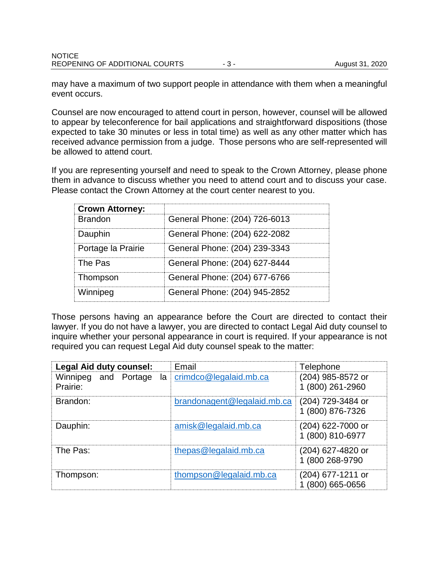may have a maximum of two support people in attendance with them when a meaningful event occurs.

Counsel are now encouraged to attend court in person, however, counsel will be allowed to appear by teleconference for bail applications and straightforward dispositions (those expected to take 30 minutes or less in total time) as well as any other matter which has received advance permission from a judge. Those persons who are self-represented will be allowed to attend court.

If you are representing yourself and need to speak to the Crown Attorney, please phone them in advance to discuss whether you need to attend court and to discuss your case. Please contact the Crown Attorney at the court center nearest to you.

| <b>Crown Attorney:</b> |                               |
|------------------------|-------------------------------|
| <b>Brandon</b>         | General Phone: (204) 726-6013 |
| Dauphin                | General Phone: (204) 622-2082 |
| Portage la Prairie     | General Phone: (204) 239-3343 |
| The Pas                | General Phone: (204) 627-8444 |
| Thompson               | General Phone: (204) 677-6766 |
| Winnipeg               | General Phone: (204) 945-2852 |

Those persons having an appearance before the Court are directed to contact their lawyer. If you do not have a lawyer, you are directed to contact Legal Aid duty counsel to inquire whether your personal appearance in court is required. If your appearance is not required you can request Legal Aid duty counsel speak to the matter:

| <b>Legal Aid duty counsel:</b>         | Email                       | Telephone                             |
|----------------------------------------|-----------------------------|---------------------------------------|
| Winnipeg and Portage<br>la<br>Prairie: | crimdco@legalaid.mb.ca      | (204) 985-8572 or<br>1 (800) 261-2960 |
| Brandon:                               | brandonagent@legalaid.mb.ca | (204) 729-3484 or<br>1 (800) 876-7326 |
| Dauphin:                               | amisk@legalaid.mb.ca        | (204) 622-7000 or<br>1 (800) 810-6977 |
| The Pas:                               | thepas@legalaid.mb.ca       | (204) 627-4820 or<br>1 (800 268-9790  |
| Thompson:                              | thompson@legalaid.mb.ca     | (204) 677-1211 or<br>$(800)$ 665-0656 |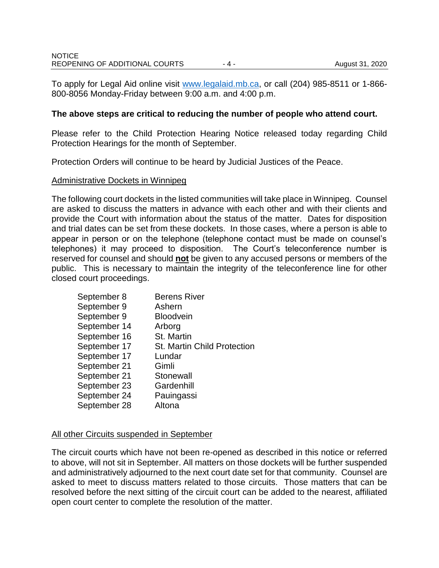To apply for Legal Aid online visit [www.legalaid.mb.ca,](http://www.legalaid.mb.ca/) or call (204) 985-8511 or 1-866- 800-8056 Monday-Friday between 9:00 a.m. and 4:00 p.m.

### **The above steps are critical to reducing the number of people who attend court.**

Please refer to the Child Protection Hearing Notice released today regarding Child Protection Hearings for the month of September.

Protection Orders will continue to be heard by Judicial Justices of the Peace.

#### Administrative Dockets in Winnipeg

The following court dockets in the listed communities will take place in Winnipeg. Counsel are asked to discuss the matters in advance with each other and with their clients and provide the Court with information about the status of the matter. Dates for disposition and trial dates can be set from these dockets. In those cases, where a person is able to appear in person or on the telephone (telephone contact must be made on counsel's telephones) it may proceed to disposition. The Court's teleconference number is reserved for counsel and should **not** be given to any accused persons or members of the public. This is necessary to maintain the integrity of the teleconference line for other closed court proceedings.

| September 8  | <b>Berens River</b>                |
|--------------|------------------------------------|
| September 9  | Ashern                             |
| September 9  | <b>Bloodvein</b>                   |
| September 14 | Arborg                             |
| September 16 | St. Martin                         |
| September 17 | <b>St. Martin Child Protection</b> |
| September 17 | Lundar                             |
| September 21 | Gimli                              |
| September 21 | Stonewall                          |
| September 23 | Gardenhill                         |
| September 24 | Pauingassi                         |
| September 28 | Altona                             |

## All other Circuits suspended in September

The circuit courts which have not been re-opened as described in this notice or referred to above, will not sit in September. All matters on those dockets will be further suspended and administratively adjourned to the next court date set for that community. Counsel are asked to meet to discuss matters related to those circuits. Those matters that can be resolved before the next sitting of the circuit court can be added to the nearest, affiliated open court center to complete the resolution of the matter.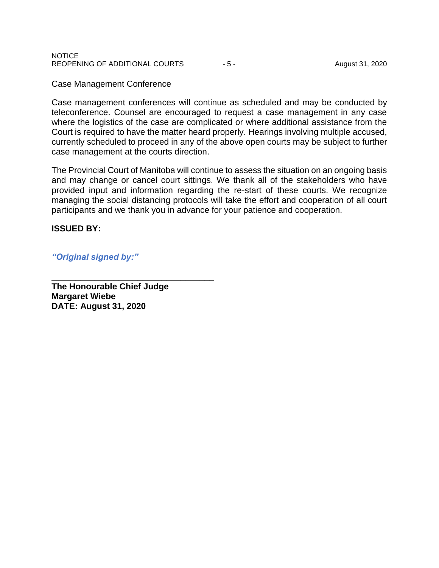#### Case Management Conference

Case management conferences will continue as scheduled and may be conducted by teleconference. Counsel are encouraged to request a case management in any case where the logistics of the case are complicated or where additional assistance from the Court is required to have the matter heard properly. Hearings involving multiple accused, currently scheduled to proceed in any of the above open courts may be subject to further case management at the courts direction.

The Provincial Court of Manitoba will continue to assess the situation on an ongoing basis and may change or cancel court sittings. We thank all of the stakeholders who have provided input and information regarding the re-start of these courts. We recognize managing the social distancing protocols will take the effort and cooperation of all court participants and we thank you in advance for your patience and cooperation.

#### **ISSUED BY:**

*"Original signed by:"*

**The Honourable Chief Judge Margaret Wiebe DATE: August 31, 2020**

**\_\_\_\_\_\_\_\_\_\_\_\_\_\_\_\_\_\_\_\_\_\_\_\_\_\_\_\_\_\_\_\_\_\_**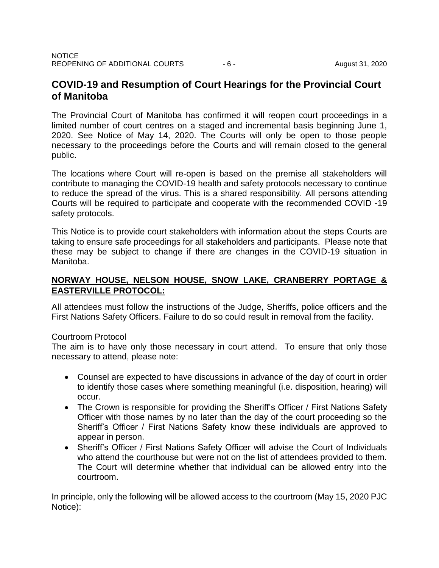# **COVID-19 and Resumption of Court Hearings for the Provincial Court of Manitoba**

The Provincial Court of Manitoba has confirmed it will reopen court proceedings in a limited number of court centres on a staged and incremental basis beginning June 1, 2020. See Notice of May 14, 2020. The Courts will only be open to those people necessary to the proceedings before the Courts and will remain closed to the general public.

The locations where Court will re-open is based on the premise all stakeholders will contribute to managing the COVID-19 health and safety protocols necessary to continue to reduce the spread of the virus. This is a shared responsibility. All persons attending Courts will be required to participate and cooperate with the recommended COVID -19 safety protocols.

This Notice is to provide court stakeholders with information about the steps Courts are taking to ensure safe proceedings for all stakeholders and participants. Please note that these may be subject to change if there are changes in the COVID-19 situation in Manitoba.

## **NORWAY HOUSE, NELSON HOUSE, SNOW LAKE, CRANBERRY PORTAGE & EASTERVILLE PROTOCOL:**

All attendees must follow the instructions of the Judge, Sheriffs, police officers and the First Nations Safety Officers. Failure to do so could result in removal from the facility.

## Courtroom Protocol

The aim is to have only those necessary in court attend. To ensure that only those necessary to attend, please note:

- Counsel are expected to have discussions in advance of the day of court in order to identify those cases where something meaningful (i.e. disposition, hearing) will occur.
- The Crown is responsible for providing the Sheriff's Officer / First Nations Safety Officer with those names by no later than the day of the court proceeding so the Sheriff's Officer / First Nations Safety know these individuals are approved to appear in person.
- Sheriff's Officer / First Nations Safety Officer will advise the Court of Individuals who attend the courthouse but were not on the list of attendees provided to them. The Court will determine whether that individual can be allowed entry into the courtroom.

In principle, only the following will be allowed access to the courtroom (May 15, 2020 PJC Notice):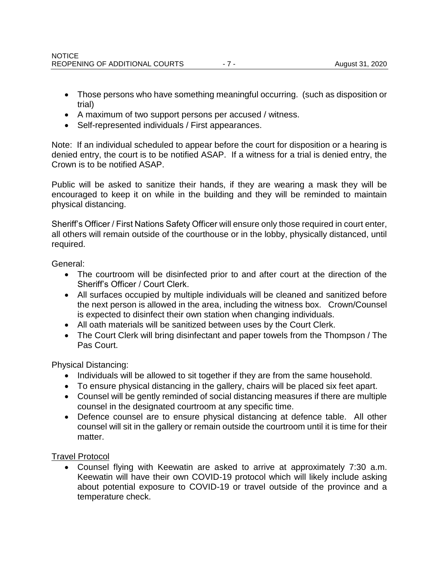- Those persons who have something meaningful occurring. (such as disposition or trial)
- A maximum of two support persons per accused / witness.
- Self-represented individuals / First appearances.

Note: If an individual scheduled to appear before the court for disposition or a hearing is denied entry, the court is to be notified ASAP. If a witness for a trial is denied entry, the Crown is to be notified ASAP.

Public will be asked to sanitize their hands, if they are wearing a mask they will be encouraged to keep it on while in the building and they will be reminded to maintain physical distancing.

Sheriff's Officer / First Nations Safety Officer will ensure only those required in court enter, all others will remain outside of the courthouse or in the lobby, physically distanced, until required.

General:

- The courtroom will be disinfected prior to and after court at the direction of the Sheriff's Officer / Court Clerk.
- All surfaces occupied by multiple individuals will be cleaned and sanitized before the next person is allowed in the area, including the witness box. Crown/Counsel is expected to disinfect their own station when changing individuals.
- All oath materials will be sanitized between uses by the Court Clerk.
- The Court Clerk will bring disinfectant and paper towels from the Thompson / The Pas Court.

Physical Distancing:

- Individuals will be allowed to sit together if they are from the same household.
- To ensure physical distancing in the gallery, chairs will be placed six feet apart.
- Counsel will be gently reminded of social distancing measures if there are multiple counsel in the designated courtroom at any specific time.
- Defence counsel are to ensure physical distancing at defence table. All other counsel will sit in the gallery or remain outside the courtroom until it is time for their matter.

## Travel Protocol

 Counsel flying with Keewatin are asked to arrive at approximately 7:30 a.m. Keewatin will have their own COVID-19 protocol which will likely include asking about potential exposure to COVID-19 or travel outside of the province and a temperature check.